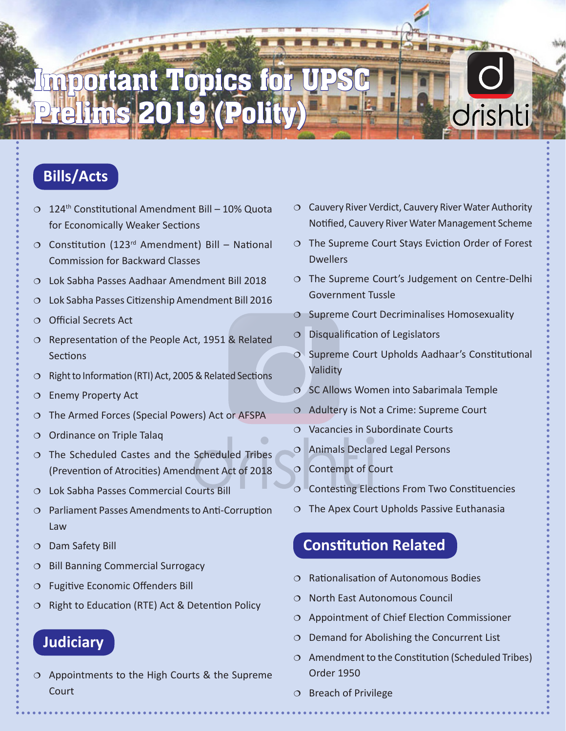# **Important Topics for** Prelims 2019 (Polity)

## **Bills/Acts**

- $0.124$ <sup>th</sup> Constitutional Amendment Bill 10% Quota for Economically Weaker Sections
- $O$  Constitution (123<sup>rd</sup> Amendment) Bill National Commission for Backward Classes
- Lok Sabha Passes Aadhaar Amendment Bill 2018
- Lok Sabha Passes Citizenship Amendment Bill 2016
- Official Secrets Act
- $O$  Representation of the People Act, 1951 & Related **Sections**
- O Right to Information (RTI) Act, 2005 & Related Sections
- O Enemy Property Act
- O The Armed Forces (Special Powers) Act or AFSPA
- $\circ$  Ordinance on Triple Talaq
- The Scheduled Castes and the Scheduled Tribes (Prevention of Atrocities) Amendment Act of 2018
- Lok Sabha Passes Commercial Courts Bill
- Parliament Passes Amendments to Anti-Corruption Law
- Dam Safety Bill
- $O$  Bill Banning Commercial Surrogacy
- Fugitive Economic Offenders Bill
- $O$  Right to Education (RTE) Act & Detention Policy

#### **Judiciary**

 $O$  Appointments to the High Courts & the Supreme **Court** 

- $\circ$  Cauvery River Verdict, Cauvery River Water Authority Notified, Cauvery River Water Management Scheme
- The Supreme Court Stays Eviction Order of Forest **Dwellers**
- O The Supreme Court's Judgement on Centre-Delhi Government Tussle
- $\circ$  Supreme Court Decriminalises Homosexuality
- $O$  Disqualification of Legislators
- Supreme Court Upholds Aadhaar's Constitutional Validity
- $\circ$  SC Allows Women into Sabarimala Temple
- $\circ$  Adultery is Not a Crime: Supreme Court
- Vacancies in Subordinate Courts
- Animals Declared Legal Persons
- Contempt of Court
- Contesting Elections From Two Constituencies
- $\circ$  The Apex Court Upholds Passive Euthanasia

### **Constitution Related**

- Rationalisation of Autonomous Bodies
- North East Autonomous Council
- Appointment of Chief Election Commissioner
- $O$  Demand for Abolishing the Concurrent List
- $\circ$  Amendment to the Constitution (Scheduled Tribes) Order 1950
- $O$  Breach of Privilege